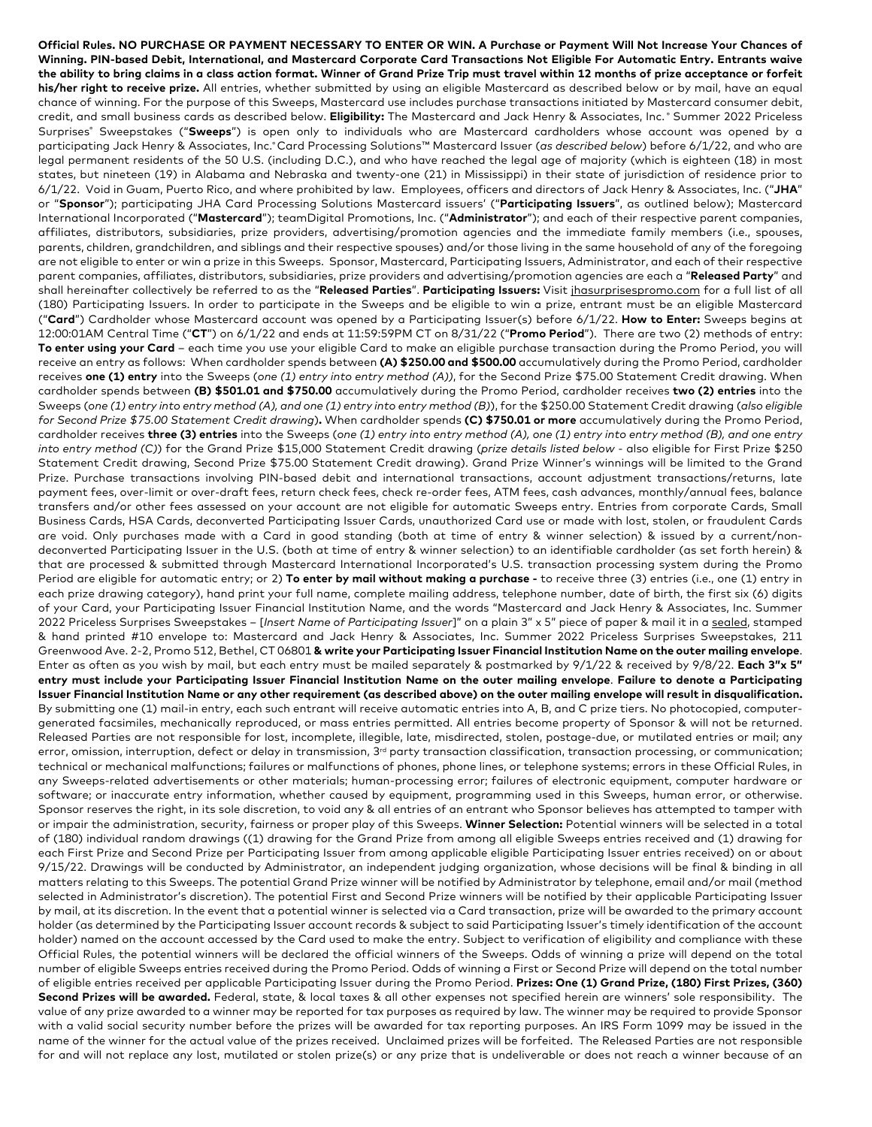**Official Rules. NO PURCHASE OR PAYMENT NECESSARY TO ENTER OR WIN. A Purchase or Payment Will Not Increase Your Chances of Winning. PIN-based Debit, International, and Mastercard Corporate Card Transactions Not Eligible For Automatic Entry. Entrants waive the ability to bring claims in a class action format. Winner of Grand Prize Trip must travel within 12 months of prize acceptance or forfeit his/her right to receive prize.** All entries, whether submitted by using an eligible Mastercard as described below or by mail, have an equal chance of winning. For the purpose of this Sweeps, Mastercard use includes purchase transactions initiated by Mastercard consumer debit, credit, and small business cards as described below. **Eligibility:** The Mastercard and Jack Henry & Associates, Inc. ® Summer 2022 Priceless Surprises® Sweepstakes ("**Sweeps**") is open only to individuals who are Mastercard cardholders whose account was opened by a participating Jack Henry & Associates, Inc.° Card Processing Solutions™ Mastercard Issuer (as described below) before 6/1/22, and who are legal permanent residents of the 50 U.S. (including D.C.), and who have reached the legal age of majority (which is eighteen (18) in most states, but nineteen (19) in Alabama and Nebraska and twenty-one (21) in Mississippi) in their state of jurisdiction of residence prior to 6/1/22. Void in Guam, Puerto Rico, and where prohibited by law. Employees, officers and directors of Jack Henry & Associates, Inc. ("**JHA**" or "**Sponsor**"); participating JHA Card Processing Solutions Mastercard issuers' ("**Participating Issuers**", as outlined below); Mastercard International Incorporated ("**Mastercard**"); teamDigital Promotions, Inc. ("**Administrator**"); and each of their respective parent companies, affiliates, distributors, subsidiaries, prize providers, advertising/promotion agencies and the immediate family members (i.e., spouses, parents, children, grandchildren, and siblings and their respective spouses) and/or those living in the same household of any of the foregoing are not eligible to enter or win a prize in this Sweeps. Sponsor, Mastercard, Participating Issuers, Administrator, and each of their respective parent companies, affiliates, distributors, subsidiaries, prize providers and advertising/promotion agencies are each a "**Released Party**" and shall hereinafter collectively be referred to as the "**Released Parties**". **Participating Issuers:** Visit jhasurprisespromo.com for a full list of all (180) Participating Issuers. In order to participate in the Sweeps and be eligible to win a prize, entrant must be an eligible Mastercard ("**Card**") Cardholder whose Mastercard account was opened by a Participating Issuer(s) before 6/1/22. **How to Enter:** Sweeps begins at 12:00:01AM Central Time ("**CT**") on 6/1/22 and ends at 11:59:59PM CT on 8/31/22 ("**Promo Period**"). There are two (2) methods of entry: **To enter using your Card** – each time you use your eligible Card to make an eligible purchase transaction during the Promo Period, you will receive an entry as follows: When cardholder spends between **(A) \$250.00 and \$500.00** accumulatively during the Promo Period, cardholder receives **one (1) entry** into the Sweeps (*one (1) entry into entry method (A))*, for the Second Prize \$75.00 Statement Credit drawing. When cardholder spends between **(B) \$501.01 and \$750.00** accumulatively during the Promo Period, cardholder receives **two (2) entries** into the Sweeps (*one (1) entry into entry method (A), and one (1) entry into entry method (B)*), for the \$250.00 Statement Credit drawing (*also eligible for Second Prize \$75.00 Statement Credit drawing*)**.** When cardholder spends **(C) \$750.01 or more** accumulatively during the Promo Period, cardholder receives **three (3) entries** into the Sweeps (*one (1) entry into entry method (A), one (1) entry into entry method (B), and one entry into entry method (C)*) for the Grand Prize \$15,000 Statement Credit drawing (*prize details listed below* - also eligible for First Prize \$250 Statement Credit drawing, Second Prize \$75.00 Statement Credit drawing). Grand Prize Winner's winnings will be limited to the Grand Prize. Purchase transactions involving PIN-based debit and international transactions, account adjustment transactions/returns, late payment fees, over-limit or over-draft fees, return check fees, check re-order fees, ATM fees, cash advances, monthly/annual fees, balance transfers and/or other fees assessed on your account are not eligible for automatic Sweeps entry. Entries from corporate Cards, Small Business Cards, HSA Cards, deconverted Participating Issuer Cards, unauthorized Card use or made with lost, stolen, or fraudulent Cards are void. Only purchases made with a Card in good standing (both at time of entry & winner selection) & issued by a current/nondeconverted Participating Issuer in the U.S. (both at time of entry & winner selection) to an identifiable cardholder (as set forth herein) & that are processed & submitted through Mastercard International Incorporated's U.S. transaction processing system during the Promo Period are eligible for automatic entry; or 2) **To enter by mail without making a purchase -** to receive three (3) entries (i.e., one (1) entry in each prize drawing category), hand print your full name, complete mailing address, telephone number, date of birth, the first six (6) digits of your Card, your Participating Issuer Financial Institution Name, and the words "Mastercard and Jack Henry & Associates, Inc. Summer 2022 Priceless Surprises Sweepstakes – [*Insert Name of Participating Issuer*]" on a plain 3" x 5" piece of paper & mail it in a sealed, stamped & hand printed #10 envelope to: Mastercard and Jack Henry & Associates, Inc. Summer 2022 Priceless Surprises Sweepstakes, 211 Greenwood Ave. 2-2, Promo 512, Bethel, CT 06801 **& write your Participating Issuer Financial Institution Name on the outer mailing envelope**. Enter as often as you wish by mail, but each entry must be mailed separately & postmarked by 9/1/22 & received by 9/8/22. **Each 3"x 5" entry must include your Participating Issuer Financial Institution Name on the outer mailing envelope**. **Failure to denote a Participating Issuer Financial Institution Name or any other requirement (as described above) on the outer mailing envelope will result in disqualification.** By submitting one (1) mail-in entry, each such entrant will receive automatic entries into A, B, and C prize tiers. No photocopied, computergenerated facsimiles, mechanically reproduced, or mass entries permitted. All entries become property of Sponsor & will not be returned. Released Parties are not responsible for lost, incomplete, illegible, late, misdirected, stolen, postage-due, or mutilated entries or mail; any error, omission, interruption, defect or delay in transmission, 3<sup>rd</sup> party transaction classification, transaction processing, or communication; technical or mechanical malfunctions; failures or malfunctions of phones, phone lines, or telephone systems; errors in these Official Rules, in any Sweeps-related advertisements or other materials; human-processing error; failures of electronic equipment, computer hardware or software; or inaccurate entry information, whether caused by equipment, programming used in this Sweeps, human error, or otherwise. Sponsor reserves the right, in its sole discretion, to void any & all entries of an entrant who Sponsor believes has attempted to tamper with or impair the administration, security, fairness or proper play of this Sweeps. **Winner Selection:** Potential winners will be selected in a total of (180) individual random drawings ((1) drawing for the Grand Prize from among all eligible Sweeps entries received and (1) drawing for each First Prize and Second Prize per Participating Issuer from among applicable eligible Participating Issuer entries received) on or about 9/15/22. Drawings will be conducted by Administrator, an independent judging organization, whose decisions will be final & binding in all matters relating to this Sweeps. The potential Grand Prize winner will be notified by Administrator by telephone, email and/or mail (method selected in Administrator's discretion). The potential First and Second Prize winners will be notified by their applicable Participating Issuer by mail, at its discretion. In the event that a potential winner is selected via a Card transaction, prize will be awarded to the primary account holder (as determined by the Participating Issuer account records & subject to said Participating Issuer's timely identification of the account holder) named on the account accessed by the Card used to make the entry. Subject to verification of eligibility and compliance with these Official Rules, the potential winners will be declared the official winners of the Sweeps. Odds of winning a prize will depend on the total number of eligible Sweeps entries received during the Promo Period. Odds of winning a First or Second Prize will depend on the total number of eligible entries received per applicable Participating Issuer during the Promo Period. **Prizes: One (1) Grand Prize, (180) First Prizes, (360) Second Prizes will be awarded.** Federal, state, & local taxes & all other expenses not specified herein are winners' sole responsibility. The value of any prize awarded to a winner may be reported for tax purposes as required by law. The winner may be required to provide Sponsor with a valid social security number before the prizes will be awarded for tax reporting purposes. An IRS Form 1099 may be issued in the name of the winner for the actual value of the prizes received. Unclaimed prizes will be forfeited. The Released Parties are not responsible for and will not replace any lost, mutilated or stolen prize(s) or any prize that is undeliverable or does not reach a winner because of an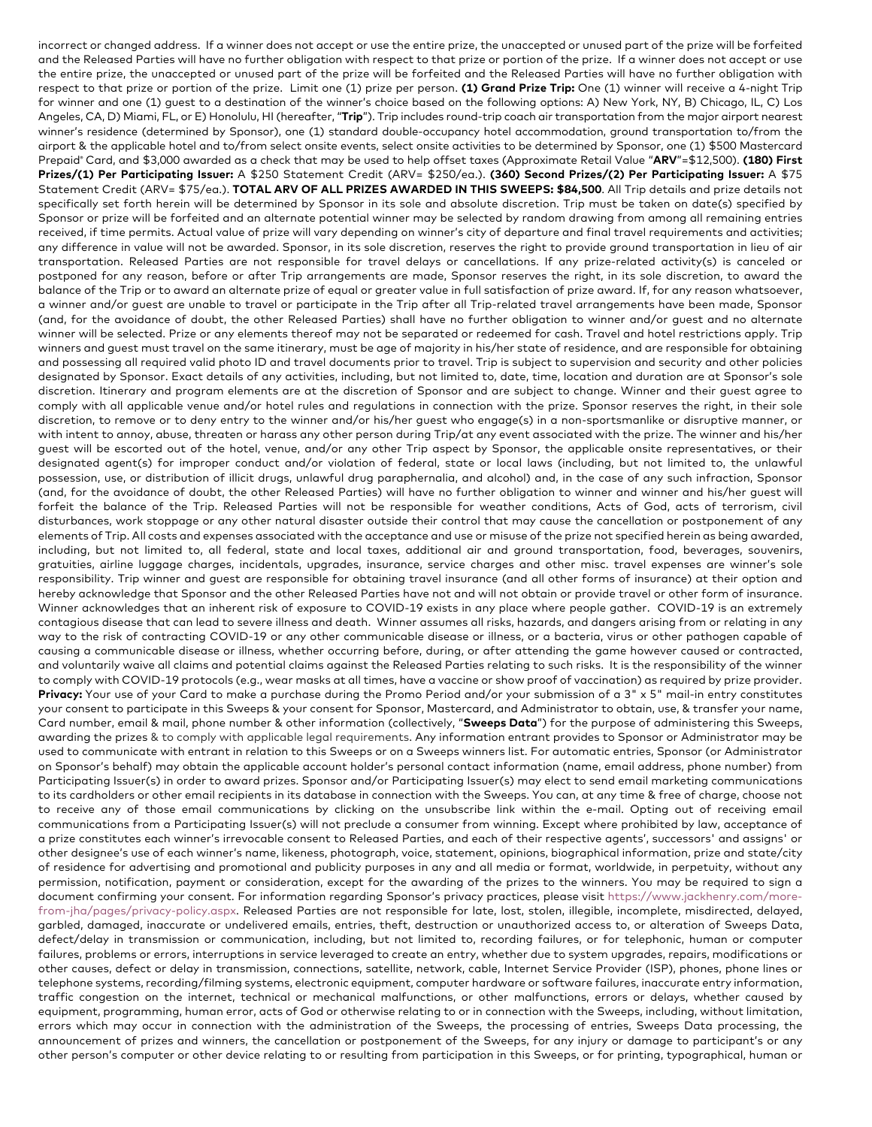incorrect or changed address. If a winner does not accept or use the entire prize, the unaccepted or unused part of the prize will be forfeited and the Released Parties will have no further obligation with respect to that prize or portion of the prize. If a winner does not accept or use the entire prize, the unaccepted or unused part of the prize will be forfeited and the Released Parties will have no further obligation with respect to that prize or portion of the prize. Limit one (1) prize per person. **(1) Grand Prize Trip:** One (1) winner will receive a 4-night Trip for winner and one (1) guest to a destination of the winner's choice based on the following options: A) New York, NY, B) Chicago, IL, C) Los Angeles, CA, D) Miami, FL, or E) Honolulu, HI (hereafter, "**Trip**"). Trip includes round-trip coach air transportation from the major airport nearest winner's residence (determined by Sponsor), one (1) standard double-occupancy hotel accommodation, ground transportation to/from the airport & the applicable hotel and to/from select onsite events, select onsite activities to be determined by Sponsor, one (1) \$500 Mastercard Prepaid® Card, and \$3,000 awarded as a check that may be used to help offset taxes (Approximate Retail Value "**ARV**"=\$12,500). **(180) First Prizes/(1) Per Participating Issuer:** A \$250 Statement Credit (ARV= \$250/ea.). **(360) Second Prizes/(2) Per Participating Issuer:** A \$75 Statement Credit (ARV= \$75/ea.). **TOTAL ARV OF ALL PRIZES AWARDED IN THIS SWEEPS: \$84,500**. All Trip details and prize details not specifically set forth herein will be determined by Sponsor in its sole and absolute discretion. Trip must be taken on date(s) specified by Sponsor or prize will be forfeited and an alternate potential winner may be selected by random drawing from among all remaining entries received, if time permits. Actual value of prize will vary depending on winner's city of departure and final travel requirements and activities; any difference in value will not be awarded. Sponsor, in its sole discretion, reserves the right to provide ground transportation in lieu of air transportation. Released Parties are not responsible for travel delays or cancellations. If any prize-related activity(s) is canceled or postponed for any reason, before or after Trip arrangements are made, Sponsor reserves the right, in its sole discretion, to award the balance of the Trip or to award an alternate prize of equal or greater value in full satisfaction of prize award. If, for any reason whatsoever, a winner and/or guest are unable to travel or participate in the Trip after all Trip-related travel arrangements have been made, Sponsor (and, for the avoidance of doubt, the other Released Parties) shall have no further obligation to winner and/or guest and no alternate winner will be selected. Prize or any elements thereof may not be separated or redeemed for cash. Travel and hotel restrictions apply. Trip winners and guest must travel on the same itinerary, must be age of majority in his/her state of residence, and are responsible for obtaining and possessing all required valid photo ID and travel documents prior to travel. Trip is subject to supervision and security and other policies designated by Sponsor. Exact details of any activities, including, but not limited to, date, time, location and duration are at Sponsor's sole discretion. Itinerary and program elements are at the discretion of Sponsor and are subject to change. Winner and their guest agree to comply with all applicable venue and/or hotel rules and regulations in connection with the prize. Sponsor reserves the right, in their sole discretion, to remove or to deny entry to the winner and/or his/her guest who engage(s) in a non-sportsmanlike or disruptive manner, or with intent to annoy, abuse, threaten or harass any other person during Trip/at any event associated with the prize. The winner and his/her guest will be escorted out of the hotel, venue, and/or any other Trip aspect by Sponsor, the applicable onsite representatives, or their designated agent(s) for improper conduct and/or violation of federal, state or local laws (including, but not limited to, the unlawful possession, use, or distribution of illicit drugs, unlawful drug paraphernalia, and alcohol) and, in the case of any such infraction, Sponsor (and, for the avoidance of doubt, the other Released Parties) will have no further obligation to winner and winner and his/her guest will forfeit the balance of the Trip. Released Parties will not be responsible for weather conditions, Acts of God, acts of terrorism, civil disturbances, work stoppage or any other natural disaster outside their control that may cause the cancellation or postponement of any elements of Trip. All costs and expenses associated with the acceptance and use or misuse of the prize not specified herein as being awarded, including, but not limited to, all federal, state and local taxes, additional air and ground transportation, food, beverages, souvenirs, gratuities, airline luggage charges, incidentals, upgrades, insurance, service charges and other misc. travel expenses are winner's sole responsibility. Trip winner and guest are responsible for obtaining travel insurance (and all other forms of insurance) at their option and hereby acknowledge that Sponsor and the other Released Parties have not and will not obtain or provide travel or other form of insurance. Winner acknowledges that an inherent risk of exposure to COVID-19 exists in any place where people gather. COVID-19 is an extremely contagious disease that can lead to severe illness and death. Winner assumes all risks, hazards, and dangers arising from or relating in any way to the risk of contracting COVID-19 or any other communicable disease or illness, or a bacteria, virus or other pathogen capable of causing a communicable disease or illness, whether occurring before, during, or after attending the game however caused or contracted, and voluntarily waive all claims and potential claims against the Released Parties relating to such risks. It is the responsibility of the winner to comply with COVID-19 protocols (e.g., wear masks at all times, have a vaccine or show proof of vaccination) as required by prize provider. **Privacy:** Your use of your Card to make a purchase during the Promo Period and/or your submission of a 3" x 5" mail-in entry constitutes your consent to participate in this Sweeps & your consent for Sponsor, Mastercard, and Administrator to obtain, use, & transfer your name, Card number, email & mail, phone number & other information (collectively, "**Sweeps Data**") for the purpose of administering this Sweeps, awarding the prizes & to comply with applicable legal requirements. Any information entrant provides to Sponsor or Administrator may be used to communicate with entrant in relation to this Sweeps or on a Sweeps winners list. For automatic entries, Sponsor (or Administrator on Sponsor's behalf) may obtain the applicable account holder's personal contact information (name, email address, phone number) from Participating Issuer(s) in order to award prizes. Sponsor and/or Participating Issuer(s) may elect to send email marketing communications to its cardholders or other email recipients in its database in connection with the Sweeps. You can, at any time & free of charge, choose not to receive any of those email communications by clicking on the unsubscribe link within the e-mail. Opting out of receiving email communications from a Participating Issuer(s) will not preclude a consumer from winning. Except where prohibited by law, acceptance of a prize constitutes each winner's irrevocable consent to Released Parties, and each of their respective agents', successors' and assigns' or other designee's use of each winner's name, likeness, photograph, voice, statement, opinions, biographical information, prize and state/city of residence for advertising and promotional and publicity purposes in any and all media or format, worldwide, in perpetuity, without any permission, notification, payment or consideration, except for the awarding of the prizes to the winners. You may be required to sign a document confirming your consent. For information regarding Sponsor's privacy practices, please visit https://www.jackhenry.com/morefrom-jha/pages/privacy-policy.aspx. Released Parties are not responsible for late, lost, stolen, illegible, incomplete, misdirected, delayed, garbled, damaged, inaccurate or undelivered emails, entries, theft, destruction or unauthorized access to, or alteration of Sweeps Data, defect/delay in transmission or communication, including, but not limited to, recording failures, or for telephonic, human or computer failures, problems or errors, interruptions in service leveraged to create an entry, whether due to system upgrades, repairs, modifications or other causes, defect or delay in transmission, connections, satellite, network, cable, Internet Service Provider (ISP), phones, phone lines or telephone systems, recording/filming systems, electronic equipment, computer hardware or software failures, inaccurate entry information, traffic congestion on the internet, technical or mechanical malfunctions, or other malfunctions, errors or delays, whether caused by equipment, programming, human error, acts of God or otherwise relating to or in connection with the Sweeps, including, without limitation, errors which may occur in connection with the administration of the Sweeps, the processing of entries, Sweeps Data processing, the announcement of prizes and winners, the cancellation or postponement of the Sweeps, for any injury or damage to participant's or any other person's computer or other device relating to or resulting from participation in this Sweeps, or for printing, typographical, human or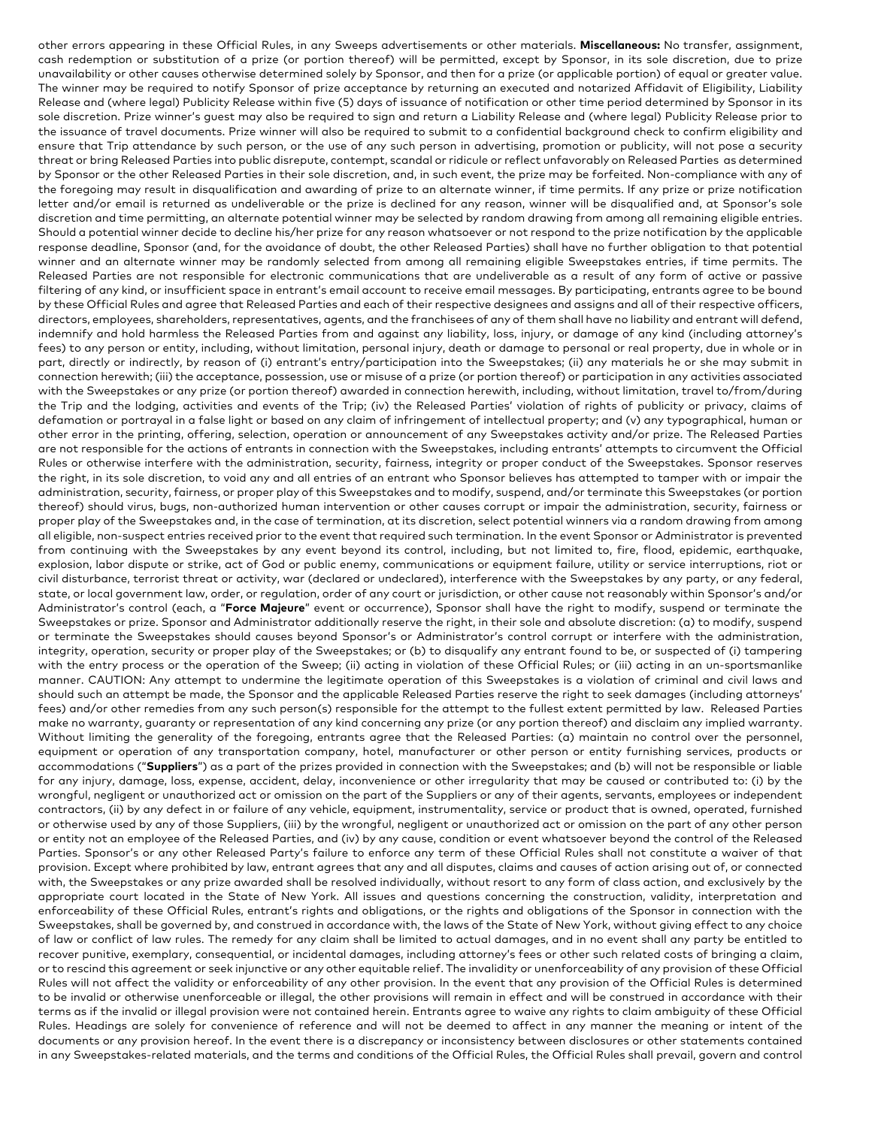other errors appearing in these Official Rules, in any Sweeps advertisements or other materials. **Miscellaneous:** No transfer, assignment, cash redemption or substitution of a prize (or portion thereof) will be permitted, except by Sponsor, in its sole discretion, due to prize unavailability or other causes otherwise determined solely by Sponsor, and then for a prize (or applicable portion) of equal or greater value. The winner may be required to notify Sponsor of prize acceptance by returning an executed and notarized Affidavit of Eligibility, Liability Release and (where legal) Publicity Release within five (5) days of issuance of notification or other time period determined by Sponsor in its sole discretion. Prize winner's guest may also be required to sign and return a Liability Release and (where legal) Publicity Release prior to the issuance of travel documents. Prize winner will also be required to submit to a confidential background check to confirm eligibility and ensure that Trip attendance by such person, or the use of any such person in advertising, promotion or publicity, will not pose a security threat or bring Released Parties into public disrepute, contempt, scandal or ridicule or reflect unfavorably on Released Parties as determined by Sponsor or the other Released Parties in their sole discretion, and, in such event, the prize may be forfeited. Non-compliance with any of the foregoing may result in disqualification and awarding of prize to an alternate winner, if time permits. If any prize or prize notification letter and/or email is returned as undeliverable or the prize is declined for any reason, winner will be disqualified and, at Sponsor's sole discretion and time permitting, an alternate potential winner may be selected by random drawing from among all remaining eligible entries. Should a potential winner decide to decline his/her prize for any reason whatsoever or not respond to the prize notification by the applicable response deadline, Sponsor (and, for the avoidance of doubt, the other Released Parties) shall have no further obligation to that potential winner and an alternate winner may be randomly selected from among all remaining eligible Sweepstakes entries, if time permits. The Released Parties are not responsible for electronic communications that are undeliverable as a result of any form of active or passive filtering of any kind, or insufficient space in entrant's email account to receive email messages. By participating, entrants agree to be bound by these Official Rules and agree that Released Parties and each of their respective designees and assigns and all of their respective officers, directors, employees, shareholders, representatives, agents, and the franchisees of any of them shall have no liability and entrant will defend, indemnify and hold harmless the Released Parties from and against any liability, loss, injury, or damage of any kind (including attorney's fees) to any person or entity, including, without limitation, personal injury, death or damage to personal or real property, due in whole or in part, directly or indirectly, by reason of (i) entrant's entry/participation into the Sweepstakes; (ii) any materials he or she may submit in connection herewith; (iii) the acceptance, possession, use or misuse of a prize (or portion thereof) or participation in any activities associated with the Sweepstakes or any prize (or portion thereof) awarded in connection herewith, including, without limitation, travel to/from/during the Trip and the lodging, activities and events of the Trip; (iv) the Released Parties' violation of rights of publicity or privacy, claims of defamation or portrayal in a false light or based on any claim of infringement of intellectual property; and (v) any typographical, human or other error in the printing, offering, selection, operation or announcement of any Sweepstakes activity and/or prize. The Released Parties are not responsible for the actions of entrants in connection with the Sweepstakes, including entrants' attempts to circumvent the Official Rules or otherwise interfere with the administration, security, fairness, integrity or proper conduct of the Sweepstakes. Sponsor reserves the right, in its sole discretion, to void any and all entries of an entrant who Sponsor believes has attempted to tamper with or impair the administration, security, fairness, or proper play of this Sweepstakes and to modify, suspend, and/or terminate this Sweepstakes (or portion thereof) should virus, bugs, non-authorized human intervention or other causes corrupt or impair the administration, security, fairness or proper play of the Sweepstakes and, in the case of termination, at its discretion, select potential winners via a random drawing from among all eligible, non-suspect entries received prior to the event that required such termination. In the event Sponsor or Administrator is prevented from continuing with the Sweepstakes by any event beyond its control, including, but not limited to, fire, flood, epidemic, earthquake, explosion, labor dispute or strike, act of God or public enemy, communications or equipment failure, utility or service interruptions, riot or civil disturbance, terrorist threat or activity, war (declared or undeclared), interference with the Sweepstakes by any party, or any federal, state, or local government law, order, or regulation, order of any court or jurisdiction, or other cause not reasonably within Sponsor's and/or Administrator's control (each, a "**Force Majeure**" event or occurrence), Sponsor shall have the right to modify, suspend or terminate the Sweepstakes or prize. Sponsor and Administrator additionally reserve the right, in their sole and absolute discretion: (a) to modify, suspend or terminate the Sweepstakes should causes beyond Sponsor's or Administrator's control corrupt or interfere with the administration, integrity, operation, security or proper play of the Sweepstakes; or (b) to disqualify any entrant found to be, or suspected of (i) tampering with the entry process or the operation of the Sweep; (ii) acting in violation of these Official Rules; or (iii) acting in an un-sportsmanlike manner. CAUTION: Any attempt to undermine the legitimate operation of this Sweepstakes is a violation of criminal and civil laws and should such an attempt be made, the Sponsor and the applicable Released Parties reserve the right to seek damages (including attorneys' fees) and/or other remedies from any such person(s) responsible for the attempt to the fullest extent permitted by law. Released Parties make no warranty, guaranty or representation of any kind concerning any prize (or any portion thereof) and disclaim any implied warranty. Without limiting the generality of the foregoing, entrants agree that the Released Parties: (a) maintain no control over the personnel, equipment or operation of any transportation company, hotel, manufacturer or other person or entity furnishing services, products or accommodations ("**Suppliers**") as a part of the prizes provided in connection with the Sweepstakes; and (b) will not be responsible or liable for any injury, damage, loss, expense, accident, delay, inconvenience or other irregularity that may be caused or contributed to: (i) by the wrongful, negligent or unauthorized act or omission on the part of the Suppliers or any of their agents, servants, employees or independent contractors, (ii) by any defect in or failure of any vehicle, equipment, instrumentality, service or product that is owned, operated, furnished or otherwise used by any of those Suppliers, (iii) by the wrongful, negligent or unauthorized act or omission on the part of any other person or entity not an employee of the Released Parties, and (iv) by any cause, condition or event whatsoever beyond the control of the Released Parties. Sponsor's or any other Released Party's failure to enforce any term of these Official Rules shall not constitute a waiver of that provision. Except where prohibited by law, entrant agrees that any and all disputes, claims and causes of action arising out of, or connected with, the Sweepstakes or any prize awarded shall be resolved individually, without resort to any form of class action, and exclusively by the appropriate court located in the State of New York. All issues and questions concerning the construction, validity, interpretation and enforceability of these Official Rules, entrant's rights and obligations, or the rights and obligations of the Sponsor in connection with the Sweepstakes, shall be governed by, and construed in accordance with, the laws of the State of New York, without giving effect to any choice of law or conflict of law rules. The remedy for any claim shall be limited to actual damages, and in no event shall any party be entitled to recover punitive, exemplary, consequential, or incidental damages, including attorney's fees or other such related costs of bringing a claim, or to rescind this agreement or seek injunctive or any other equitable relief. The invalidity or unenforceability of any provision of these Official Rules will not affect the validity or enforceability of any other provision. In the event that any provision of the Official Rules is determined to be invalid or otherwise unenforceable or illegal, the other provisions will remain in effect and will be construed in accordance with their terms as if the invalid or illegal provision were not contained herein. Entrants agree to waive any rights to claim ambiguity of these Official Rules. Headings are solely for convenience of reference and will not be deemed to affect in any manner the meaning or intent of the documents or any provision hereof. In the event there is a discrepancy or inconsistency between disclosures or other statements contained in any Sweepstakes-related materials, and the terms and conditions of the Official Rules, the Official Rules shall prevail, govern and control